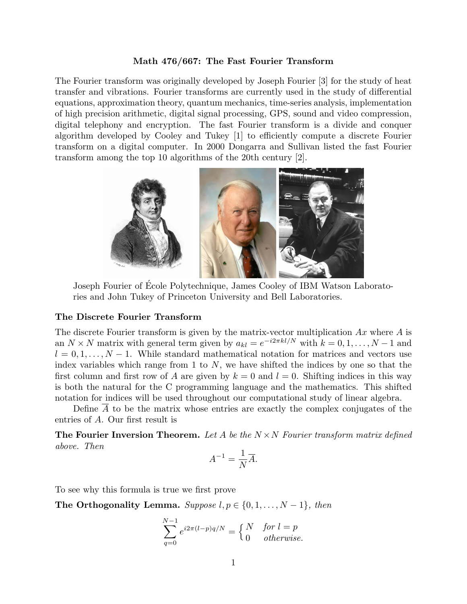#### **Math 476/667: The Fast Fourier Transform**

The Fourier transform was originally developed by Joseph Fourier [3] for the study of heat transfer and vibrations. Fourier transforms are currently used in the study of differential equations, approximation theory, quantum mechanics, time-series analysis, implementation of high precision arithmetic, digital signal processing, GPS, sound and video compression, digital telephony and encryption. The fast Fourier transform is a divide and conquer algorithm developed by Cooley and Tukey [1] to efficiently compute a discrete Fourier transform on a digital computer. In 2000 Dongarra and Sullivan listed the fast Fourier transform among the top 10 algorithms of the 20th century [2].



Joseph Fourier of Ecole Polytechnique, James Cooley of IBM Watson Laborato- ´ ries and John Tukey of Princeton University and Bell Laboratories.

### **The Discrete Fourier Transform**

The discrete Fourier transform is given by the matrix-vector multiplication *Ax* where *A* is an  $N \times N$  matrix with general term given by  $a_{kl} = e^{-i2\pi kl/N}$  with  $k = 0, 1, \ldots, N - 1$  and  $l = 0, 1, \ldots, N - 1$ . While standard mathematical notation for matrices and vectors use index variables which range from 1 to *N*, we have shifted the indices by one so that the first column and first row of *A* are given by  $k = 0$  and  $l = 0$ . Shifting indices in this way is both the natural for the C programming language and the mathematics. This shifted notation for indices will be used throughout our computational study of linear algebra.

Define *A* to be the matrix whose entries are exactly the complex conjugates of the entries of *A*. Our first result is

**The Fourier Inversion Theorem.** *Let A be the N ×N Fourier transform matrix defined above. Then*

$$
A^{-1} = \frac{1}{N}\overline{A}.
$$

To see why this formula is true we first prove

**The Orthogonality Lemma.**  $Suppose l, p \in \{0, 1, \ldots, N-1\}$ , then

$$
\sum_{q=0}^{N-1} e^{i2\pi (l-p)q/N} = \begin{cases} N & \text{for } l=p\\ 0 & \text{otherwise.} \end{cases}
$$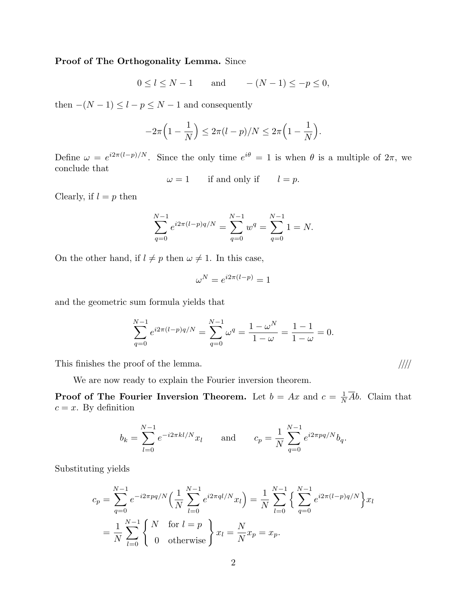## **Proof of The Orthogonality Lemma.** Since

$$
0 \le l \le N - 1 \qquad \text{and} \qquad -(N - 1) \le -p \le 0,
$$

then  $-(N-1) \leq l - p \leq N-1$  and consequently

$$
-2\pi \left(1-\frac{1}{N}\right) \leq 2\pi (l-p)/N \leq 2\pi \left(1-\frac{1}{N}\right).
$$

Define  $\omega = e^{i2\pi (l-p)/N}$ . Since the only time  $e^{i\theta} = 1$  is when  $\theta$  is a multiple of  $2\pi$ , we conclude that

 $\omega = 1$  if and only if  $l = p$ .

Clearly, if  $l = p$  then

$$
\sum_{q=0}^{N-1} e^{i2\pi (l-p)q/N} = \sum_{q=0}^{N-1} w^q = \sum_{q=0}^{N-1} 1 = N.
$$

On the other hand, if  $l \neq p$  then  $\omega \neq 1$ . In this case,

$$
\omega^N = e^{i2\pi(l-p)} = 1
$$

and the geometric sum formula yields that

$$
\sum_{q=0}^{N-1} e^{i2\pi (l-p)q/N} = \sum_{q=0}^{N-1} \omega^q = \frac{1-\omega^N}{1-\omega} = \frac{1-1}{1-\omega} = 0.
$$

This finishes the proof of the lemma. *////*

We are now ready to explain the Fourier inversion theorem.

**Proof of The Fourier Inversion Theorem.** Let  $b = Ax$  and  $c = \frac{1}{N}$  $\frac{1}{N}Ab$ . Claim that  $c = x$ . By definition

$$
b_k = \sum_{l=0}^{N-1} e^{-i2\pi kl/N} x_l
$$
 and  $c_p = \frac{1}{N} \sum_{q=0}^{N-1} e^{i2\pi pq/N} b_q$ .

Substituting yields

$$
c_p = \sum_{q=0}^{N-1} e^{-i2\pi pq/N} \left(\frac{1}{N} \sum_{l=0}^{N-1} e^{i2\pi q l/N} x_l\right) = \frac{1}{N} \sum_{l=0}^{N-1} \left\{\sum_{q=0}^{N-1} e^{i2\pi (l-p)q/N}\right\} x_l
$$
  
=  $\frac{1}{N} \sum_{l=0}^{N-1} \left\{\begin{array}{ll} N & \text{for } l=p\\ 0 & \text{otherwise} \end{array}\right\} x_l = \frac{N}{N} x_p = x_p.$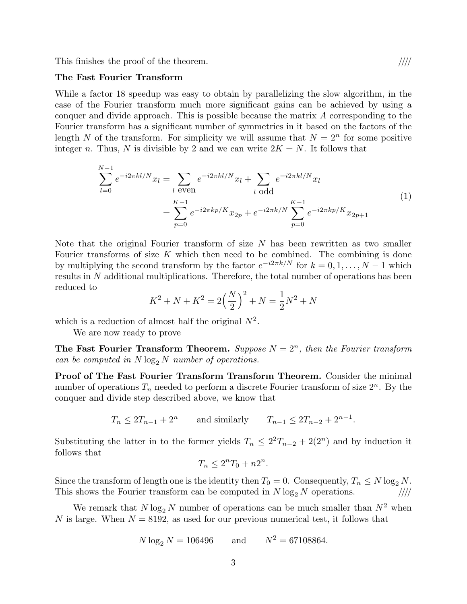This finishes the proof of the theorem. *////*

#### **The Fast Fourier Transform**

While a factor 18 speedup was easy to obtain by parallelizing the slow algorithm, in the case of the Fourier transform much more significant gains can be achieved by using a conquer and divide approach. This is possible because the matrix *A* corresponding to the Fourier transform has a significant number of symmetries in it based on the factors of the length *N* of the transform. For simplicity we will assume that  $N = 2^n$  for some positive integer *n*. Thus, *N* is divisible by 2 and we can write  $2K = N$ . It follows that

$$
\sum_{l=0}^{N-1} e^{-i2\pi kl/N} x_l = \sum_{l \text{ even}} e^{-i2\pi kl/N} x_l + \sum_{l \text{ odd}} e^{-i2\pi kl/N} x_l
$$
\n
$$
= \sum_{p=0}^{K-1} e^{-i2\pi kp/K} x_{2p} + e^{-i2\pi k/N} \sum_{p=0}^{K-1} e^{-i2\pi kp/K} x_{2p+1}
$$
\n(1)

Note that the original Fourier transform of size *N* has been rewritten as two smaller Fourier transforms of size K which then need to be combined. The combining is done by multiplying the second transform by the factor  $e^{-i2\pi k/N}$  for  $k = 0, 1, \ldots, N-1$  which results in *N* additional multiplications. Therefore, the total number of operations has been reduced to

$$
K^{2} + N + K^{2} = 2\left(\frac{N}{2}\right)^{2} + N = \frac{1}{2}N^{2} + N
$$

which is a reduction of almost half the original  $N^2$ .

We are now ready to prove

**The Fast Fourier Transform Theorem.** *Suppose*  $N = 2^n$ *, then the Fourier transform can be computed in*  $N \log_2 N$  *number of operations.* 

**Proof of The Fast Fourier Transform Transform Theorem.** Consider the minimal number of operations  $T_n$  needed to perform a discrete Fourier transform of size  $2^n$ . By the conquer and divide step described above, we know that

$$
T_n \le 2T_{n-1} + 2^n
$$
 and similarly  $T_{n-1} \le 2T_{n-2} + 2^{n-1}$ .

Substituting the latter in to the former yields  $T_n \leq 2^2 T_{n-2} + 2(2^n)$  and by induction it follows that

$$
T_n \le 2^n T_0 + n 2^n.
$$

Since the transform of length one is the identity then  $T_0 = 0$ . Consequently,  $T_n \leq N \log_2 N$ . This shows the Fourier transform can be computed in  $N \log_2 N$  operations.

We remark that  $N \log_2 N$  number of operations can be much smaller than  $N^2$  when *N* is large. When  $N = 8192$ , as used for our previous numerical test, it follows that

$$
N \log_2 N = 106496
$$
 and  $N^2 = 67108864$ .